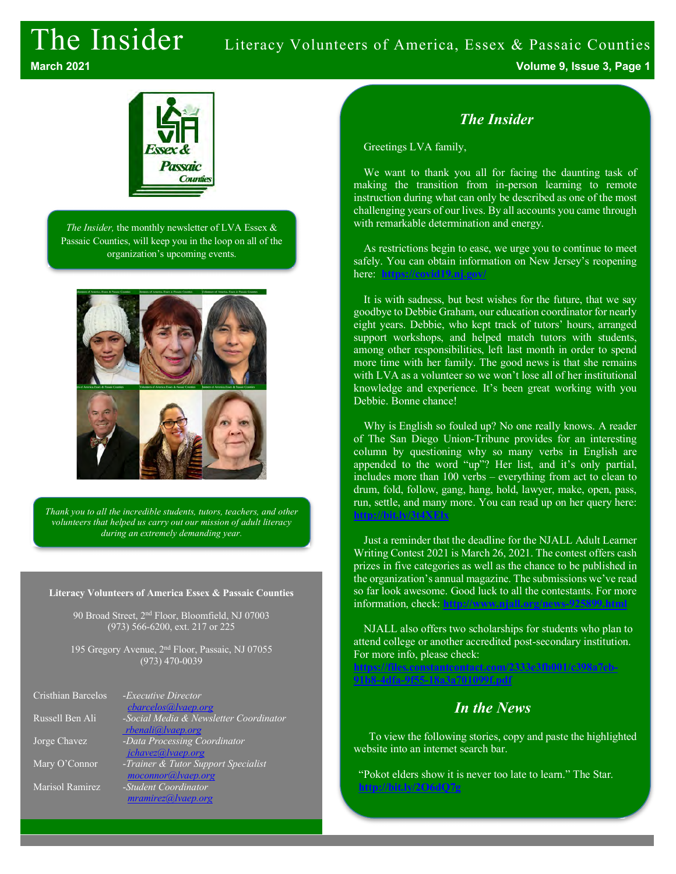## The Insider Literacy Volunteers of America, Essex & Passaic Counties



*The Insider,* the monthly newsletter of LVA Essex & Passaic Counties, will keep you in the loop on all of the organization's upcoming events.



*Thank you to all the incredible students, tutors, teachers, and other volunteers that helped us carry out our mission of adult literacy during an extremely demanding year.*

#### **Literacy Volunteers of America Essex & Passaic Counties**

90 Broad Street, 2nd Floor, Bloomfield, NJ 07003 (973) 566-6200, ext. 217 or 225

195 Gregory Avenue, 2nd Floor, Passaic, NJ 07055 (973) 470-0039

| Cristhian Barcelos | -Executive Director                    |
|--------------------|----------------------------------------|
|                    | <i>cbarcelos@lvaep.org</i>             |
| Russell Ben Ali    | -Social Media & Newsletter Coordinator |
|                    | rbenali@lvaep.org                      |
| Jorge Chavez       | -Data Processing Coordinator           |
|                    | jchavez@lvaep.org                      |
| Mary O'Connor      | -Trainer & Tutor Support Specialist    |
|                    | moconnor@lvaep.org                     |
| Marisol Ramirez    | -Student Coordinator                   |
|                    | mramirez@ vaep.org                     |

#### *The Insider*

Greetings LVA family,

We want to thank you all for facing the daunting task of making the transition from in-person learning to remote instruction during what can only be described as one of the most challenging years of our lives. By all accounts you came through with remarkable determination and energy.

As restrictions begin to ease, we urge you to continue to meet safely. You can obtain information on New Jersey's reopening here: **https://covid19.nj.gov/**

It is with sadness, but best wishes for the future, that we say goodbye to Debbie Graham, our education coordinator for nearly eight years. Debbie, who kept track of tutors' hours, arranged support workshops, and helped match tutors with students, among other responsibilities, left last month in order to spend more time with her family. The good news is that she remains with LVA as a volunteer so we won't lose all of her institutional knowledge and experience. It's been great working with you Debbie. Bonne chance!

Why is English so fouled up? No one really knows. A reader of The San Diego Union-Tribune provides for an interesting column by questioning why so many verbs in English are appended to the word "up"? Her list, and it's only partial, includes more than 100 verbs – everything from act to clean to drum, fold, follow, gang, hang, hold, lawyer, make, open, pass, run, settle, and many more. You can read up on her query here: **http://bit.ly/3t4XElx**

Just a reminder that the deadline for the NJALL Adult Learner Writing Contest 2021 is March 26, 2021. The contest offers cash prizes in five categories as well as the chance to be published in the organization's annual magazine. The submissions we've read so far look awesome. Good luck to all the contestants. For more information, check: **http://www.njall.org/news-925899.html**

NJALL also offers two scholarships for students who plan to attend college or another accredited post-secondary institution. For more info, please check:

**https://files.constantcontact.com/2333e3fb001/c398a7eb-91b8-4dfa-9f55-18a3a701099f.pdf**

#### *In the News*

To view the following stories, copy and paste the highlighted website into an internet search bar.

"Pokot elders show it is never too late to learn." The Star. **http://bit.ly/2O6dQ7g**

**March 2021 Volume 9, Issue 3, Page 1**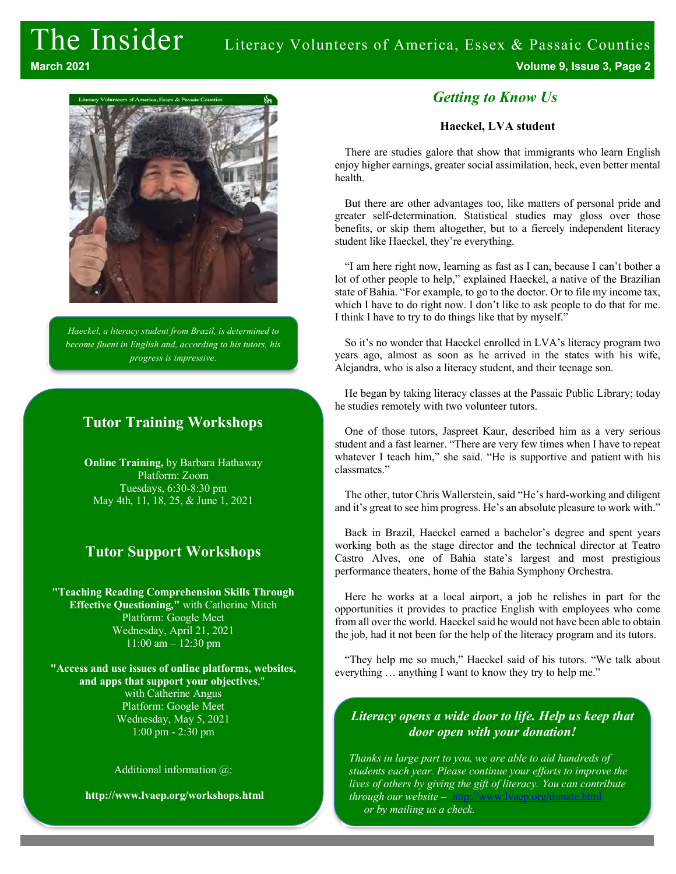# The Insider Literacy Volunteers of America, Essex & Passaic Counties

**March 2021 Volume 9, Issue 3, Page 2**



*Haeckel, a literacy student from Brazil, is determined to become fluent in English and, according to his tutors, his progress is impressive.* 

#### **Tutor Training Workshops**

**Online Training,** by Barbara Hathaway Platform: Zoom Tuesdays, 6:30-8:30 pm May 4th, 11, 18, 25, & June 1, 2021

#### **Tutor Support Workshops**

**"Teaching Reading Comprehension Skills Through Effective Questioning,"** with Catherine Mitch Platform: Google Meet Wednesday, April 21, 2021 11:00 am – 12:30 pm

**"Access and use issues of online platforms, websites, and apps that support your objectives**," with Catherine Angus Platform: Google Meet Wednesday, May 5, 2021 1:00 pm - 2:30 pm

Additional information @:

**http://www.lvaep.org/workshops.html**

#### *Getting to Know Us*

#### **Haeckel, LVA student**

There are studies galore that show that immigrants who learn English enjoy higher earnings, greater social assimilation, heck, even better mental health.

But there are other advantages too, like matters of personal pride and greater self-determination. Statistical studies may gloss over those benefits, or skip them altogether, but to a fiercely independent literacy student like Haeckel, they're everything.

"I am here right now, learning as fast as I can, because I can't bother a lot of other people to help," explained Haeckel, a native of the Brazilian state of Bahia. "For example, to go to the doctor. Or to file my income tax, which I have to do right now. I don't like to ask people to do that for me. I think I have to try to do things like that by myself."

So it's no wonder that Haeckel enrolled in LVA's literacy program two years ago, almost as soon as he arrived in the states with his wife, Alejandra, who is also a literacy student, and their teenage son.

He began by taking literacy classes at the Passaic Public Library; today he studies remotely with two volunteer tutors.

One of those tutors, Jaspreet Kaur, described him as a very serious student and a fast learner. "There are very few times when I have to repeat whatever I teach him," she said. "He is supportive and patient with his classmates."

The other, tutor Chris Wallerstein, said "He's hard-working and diligent and it's great to see him progress. He's an absolute pleasure to work with."

Back in Brazil, Haeckel earned a bachelor's degree and spent years working both as the stage director and the technical director at Teatro Castro Alves, one of Bahia state's largest and most prestigious performance theaters, home of the Bahia Symphony Orchestra.

Here he works at a local airport, a job he relishes in part for the opportunities it provides to practice English with employees who come from all over the world. Haeckel said he would not have been able to obtain the job, had it not been for the help of the literacy program and its tutors.

"They help me so much," Haeckel said of his tutors. "We talk about everything … anything I want to know they try to help me."

#### *Literacy opens a wide door to life. Help us keep that door open with your donation!*

*Thanks in large part to you, we are able to aid hundreds of students each year. Please continue your efforts to improve the lives of others by giving the gift of literacy. You can contribute through our website* – http://www.lvaep.org/donate.html *or by mailing us a check.*